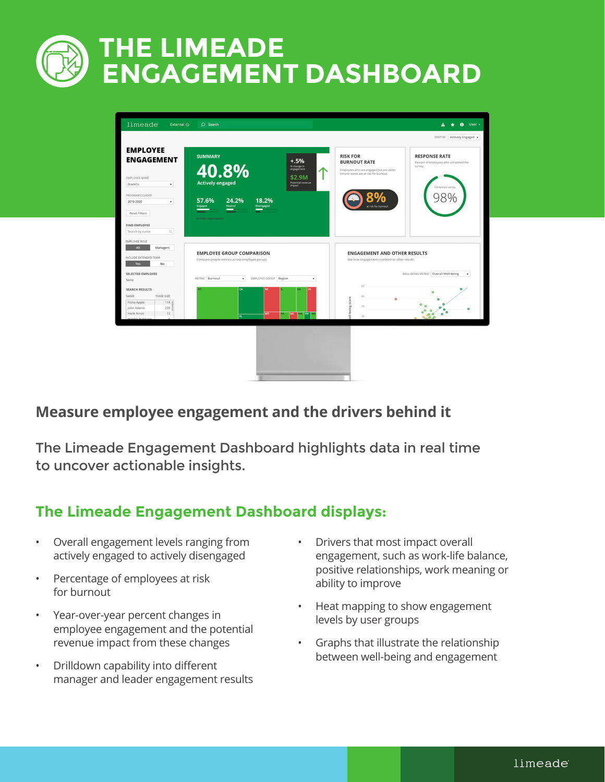# **THE LIMEADE ENGAGEMENT DASHBOARD**

| limeade<br>External $\odot$                                                                                     | $O$ Search                                                                         | $\theta$ User -<br>$\mathbf{A}$<br>$\star$                                                                                                                           |
|-----------------------------------------------------------------------------------------------------------------|------------------------------------------------------------------------------------|----------------------------------------------------------------------------------------------------------------------------------------------------------------------|
|                                                                                                                 |                                                                                    | SORT BY Actively Engaged                                                                                                                                             |
| <b>EMPLOYEE</b><br><b>ENGAGEMENT</b>                                                                            | <b>SUMMARY</b><br>$+.5%$<br>40.8%<br>% change in<br>engagement                     | <b>RISK FOR</b><br><b>RESPONSE RATE</b><br><b>BURNOUT RATE</b><br>Percent of employees who completed the<br>survey.<br>Employees who are engaged but are under       |
| EMPLOYER NAME<br>StarkCo<br>$\mathbf{v}$                                                                        | \$2.9M<br><b>Actively engaged</b><br>Potential revenue<br><i>impact</i>            | chronic stress are at risk for burnout.<br>Completed survey                                                                                                          |
| PROGRAM COHORT<br>2019-2020<br>$\mathbf{v}$<br><b>Reset Filters</b>                                             | 24.2%<br>18.2%<br>57.6%<br>Disengaged<br>Neutral<br>Engaged<br>-                   | 80<br>at risk for burnout                                                                                                                                            |
| <b>FIND EMPLOYEE</b><br>$\mathbb{Q}$<br>Search by name                                                          | · Other organizations                                                              |                                                                                                                                                                      |
| EMPLOYEE ROLE<br>All<br>Managers<br>INCLUDE EXTENDED TEAM<br>No<br>Yes                                          | <b>EMPLOYEE GROUP COMPARISON</b><br>Compare people metrics across employee groups. | <b>ENGAGEMENT AND OTHER RESULTS</b><br>See how engagement is related to other results.                                                                               |
| SELECTED EMPLOYEE<br>None                                                                                       | EMPLOYEE GROUP Region<br>METRIC Burnout<br>$\mathbf{v}$<br>$\mathbf{v}$            | WELL-BEING METRIC Overall Well-being<br>$\mathbf{v}$                                                                                                                 |
| <b>SEARCH RESULTS</b><br>NAME<br>TEAM SIZE<br>Fiona Apple<br>$114$ $1$<br>233<br>John Adams<br>Hank Arron<br>12 | <b>CA</b><br>N<br><b>MO</b><br>MS<br>WA NY MA<br>PΔ<br>π                           | 81<br>$\bullet$<br>$\bullet$<br>80<br>ell-being score<br>$^{\circ}$ $^{\circ}$<br>79<br>$\circ$<br>۰<br>$\circ^{\circ}$<br>$\epsilon$<br>۰<br>$\bullet$<br>ە م<br>78 |
|                                                                                                                 |                                                                                    |                                                                                                                                                                      |
|                                                                                                                 |                                                                                    |                                                                                                                                                                      |
|                                                                                                                 |                                                                                    |                                                                                                                                                                      |

### **Measure employee engagement and the drivers behind it**

The Limeade Engagement Dashboard highlights data in real time to uncover actionable insights.

## **The Limeade Engagement Dashboard displays:**

- Overall engagement levels ranging from actively engaged to actively disengaged
- Percentage of employees at risk for burnout
- Year-over-year percent changes in employee engagement and the potential revenue impact from these changes
- Drilldown capability into different manager and leader engagement results
- Drivers that most impact overall engagement, such as work-life balance, positive relationships, work meaning or ability to improve
- Heat mapping to show engagement levels by user groups
- Graphs that illustrate the relationship between well-being and engagement